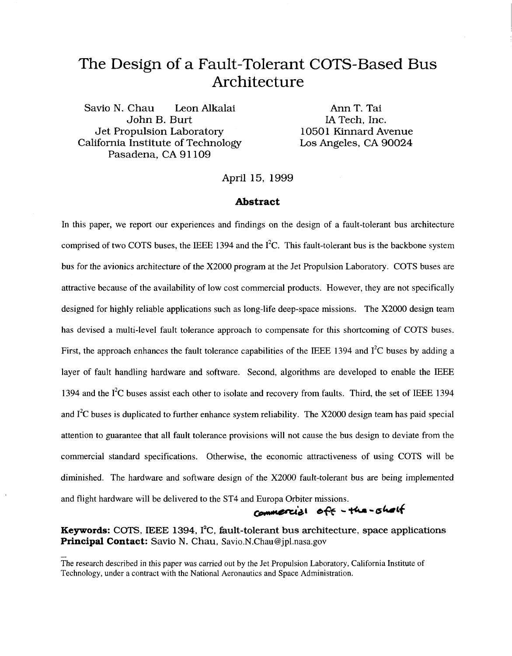# The Design of a Fault-Tolerant COTS-Based Bus Architecture

Savio N. Chau Leon Alkalai John B. Burt IA Tech, Inc. Jet Propulsion Laboratory 10501 Kinnard Avenue California Institute of Technology Pasadena, CA 91109

Ann T. Tai

April 15, 1999

#### **Abstract**

In this paper, we report our experiences and findings on the design of a fault-tolerant bus architecture comprised of two COTS buses, the IEEE 1394 and the  $\hat{I}^2C$ . This fault-tolerant bus is the backbone system bus for the avionics architecture of the X2000 program at the Jet Propulsion Laboratory. COTS buses are attractive because of the availability of low cost commercial products. However, they are not specifically designed for highly reliable applications such as long-life deep-space missions. The X2000 design team has devised a multi-level fault tolerance approach to compensate for this shortcoming of COTS buses. First, the approach enhances the fault tolerance capabilities of the IEEE 1394 and  $\rm I^2C$  buses by adding a layer of fault handling hardware and software. Second, algorithms are developed to enable the IEEE 1394 and the  $I<sup>2</sup>C$  buses assist each other to isolate and recovery from faults. Third, the set of IEEE 1394 and **12C** buses is duplicated to further enhance system reliability. The X2000 design team has paid special attention to guarantee that all fault tolerance provisions will not cause the bus design to deviate from the commercial standard specifications. Otherwise, the economic attractiveness of using COTS will be diminished. The hardware and software design of the X2000 fault-tolerant bus are being implemented and flight hardware will be delivered to the ST4 and Europa Orbiter missions.

commercial off - the -sholf

**Keywords:** *COTS,* IEEE **1394, 12C,** fault-tolerant bus architecture, space applications **Principal Contact:** Savio N. Chau, [Savio.N.Chau@jpl.nasa.gov](mailto:Savio.N.Chau@jpl.nasa.gov)

The research described in this paper was carried out by the Jet Propulsion Laboratory, California Institute of Technology, under a contract with the National Aeronautics and Space Administration.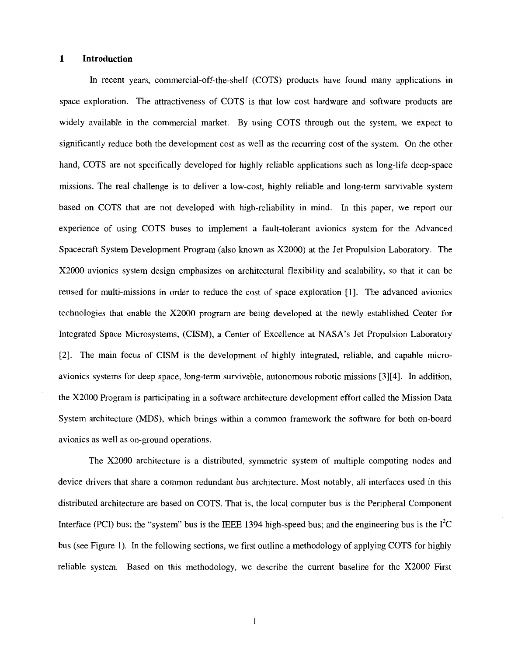#### **1 Introduction**

In recent years, commercial-off-the-shelf (COTS) products have found many applications in space exploration. The attractiveness of COTS is that low cost hardware and software products are widely available in the commercial market. By using COTS through out the system, we expect to significantly reduce both the development cost as well as the recurring cost of the system. On the other hand, COTS are not specifically developed for highly reliable applications such as long-life deep-space missions. The real challenge is to deliver a low-cost, highly reliable and long-term survivable system based on COTS that are not developed with high-reliability in mind. In this paper, we report our experience of using COTS buses to implement a fault-tolerant avionics system for the Advanced Spacecraft System Development Program (also known as X2000) at the Jet Propulsion Laboratory. The X2000 avionics system design emphasizes on architectural flexibility and scalability, so that it can be reused for multi-missions in order to reduce the cost of space exploration [I]. The advanced avionics technologies that enable the X2000 program are being developed at the newly established Center for Integrated Space Microsystems, (CISM), a Center of Excellence at **NASA's** Jet Propulsion Laboratory [2]. The main focus of CISM is the development of highly integrated, reliable, and capable microavionics systems for deep space, long-term survivable, autonomous robotic missions [3][4]. In addition, the X2000 Program is participating in a software architecture development effort called the Mission Data System architecture (MDS), which brings within a common framework the software for both on-board avionics as well as on-ground operations.

The X2000 architecture is a distributed, symmetric system of multiple computing nodes and device drivers that share a common redundant bus architecture. Most notably, all interfaces used in this distributed architecture are based on COTS. That is, the local computer bus is the Peripheral Component Interface (PCI) bus; the "system" bus is the IEEE 1394 high-speed bus; and the engineering bus is the  $I<sup>2</sup>C$ bus (see Figure 1). In the following sections, we first outline a methodology of applying COTS for highly reliable system. Based on this methodology, we describe the current baseline for the X2000 First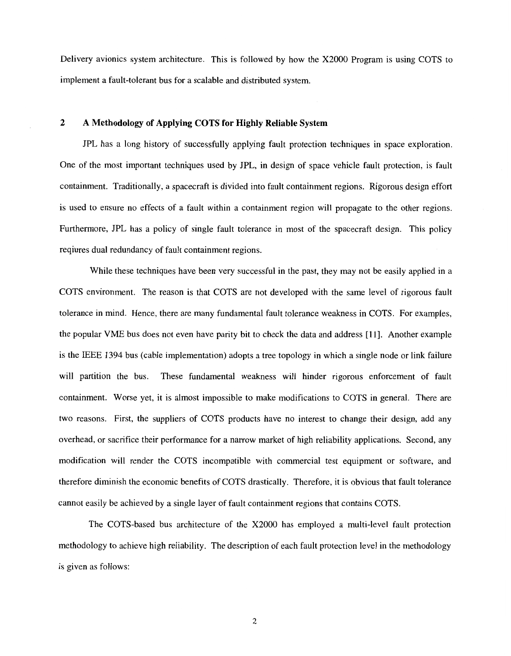Delivery avionics system architecture. This is followed by how the X2000 Program is using COTS to implement a fault-tolerant bus for a scalable and distributed system.

## **2 A Methodology of Applying COTS for Highly Reliable System**

JPL has a long history of successfully applying fault protection techniques in space exploration. One of the most important techniques used by JPL, in design of space vehicle fault protection, is fault containment. Traditionally, a spacecraft is divided into fault containment regions. Rigorous design effort is used to ensure no effects of a fault within a containment region will propagate to the other regions. Furthermore, JPL has a policy of single fault tolerance in most of the spacecraft design. This policy reqiures dual redundancy of fault containment regions.

While these techniques have been very successful in the past, they may not be easily applied in a COTS environment. The reason is that COTS are not developed with the same level of rigorous fault tolerance in mind. Hence, there are many fundamental fault tolerance weakness in COTS. For examples, the popular VME bus does not even have parity bit to check the data and address [ **113.** Another example is the EEE 1394 bus (cable implementation) adopts a tree topology in which a single node or link failure will partition the bus. These fundamental weakness will hinder rigorous enforcement of fault containment. Worse yet, it is almost impossible to make modifications to COTS in general. There are two reasons. First, the suppliers of COTS products have no interest to change their design, add any overhead, or sacrifice their performance for a narrow market of high reliability applications. Second, any modification will render the COTS incompatible with commercial test equipment or software, and therefore diminish the economic benefits of COTS drastically. Therefore, it is obvious that fault tolerance cannot easily be achieved by a single layer of fault containment regions that contains COTS.

The COTS-based bus architecture of the X2000 has employed a multi-level fault protection methodology to achieve high reliability. The description of each fault protection level in the methodology is given as follows: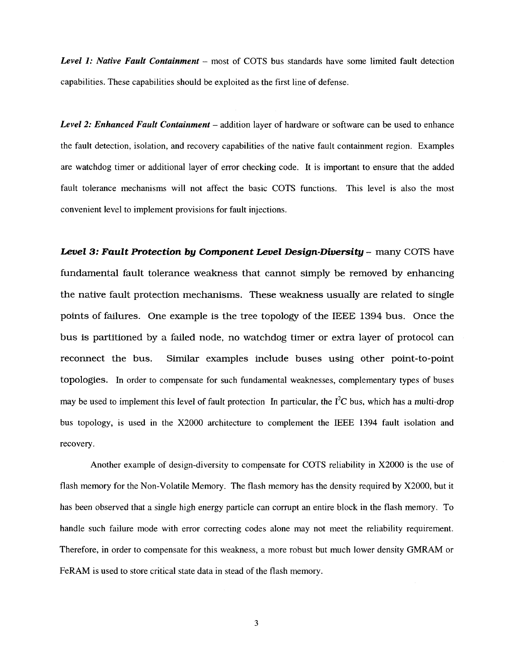**Level 1: Native Fault Containment** – most of COTS bus standards have some limited fault detection capabilities. These capabilities should be exploited as the first line of defense.

*Level 2: Enhanced Fault Containment – addition layer of hardware or software can be used to enhance* the fault detection, isolation, and recovery capabilities of the native fault containment region. Examples are watchdog timer or additional layer of error checking code. It is important to ensure that the added fault tolerance mechanisms will not affect the basic COTS functions. This level is also the most convenient level to implement provisions for fault injections.

*Level 3: Fault Protection* **by** *Component Level Design-Diuersity* - many COTS have fundamental fault tolerance weakness that cannot simply be removed by enhancing the native fault protection mechanisms. These weakness usually are related to single points of failures. One example is the tree topology of the IEEE **1394** bus. Once the bus is partitioned by a failed node, no watchdog timer or extra layer of protocol can reconnect the bus. Similar examples include buses using other point-to-point topologies. In order to compensate for such fundamental weaknesses, complementary types of buses may be used to implement this level of fault protection In particular, the  $I<sup>2</sup>C$  bus, which has a multi-drop bus topology, is used in the X2000 architecture to complement the EEE **1394** fault isolation and recovery.

Another example of design-diversity to compensate for COTS reliability in X2000 is the use of flash memory for the Non-Volatile Memory. The flash memory has the density required by X2000, but it has been observed that a single high energy particle can corrupt an entire block in the flash memory. To handle such failure mode with error correcting codes alone may not meet the reliability requirement. Therefore, in order to compensate for this weakness, a more robust but much lower density GMRAM or FeRAM is used to store critical state data in stead of the flash memory.

**3**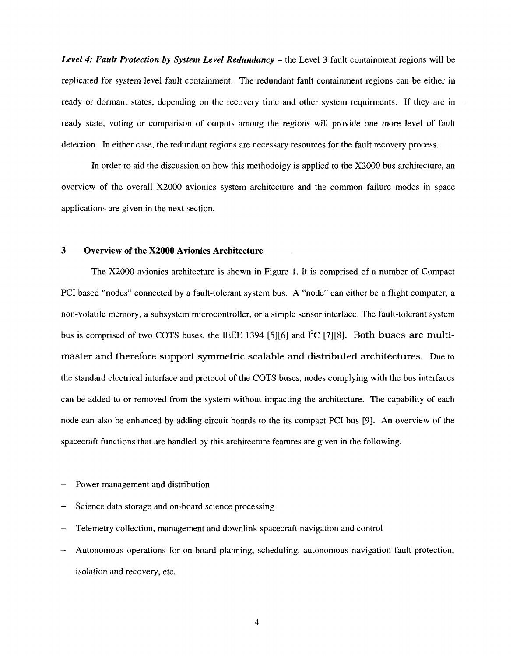*Level 4: Fault Protection by System Level Redundancy – the Level 3 fault containment regions will be* replicated for system level fault containment. The redundant fault containment regions can be either in ready or dormant states, depending on the recovery time and other system requirments. If they are in ready state, voting or comparison of outputs among the regions will provide one more level of fault detection. In either case, the redundant regions are necessary resources for the fault recovery process.

In order to aid the discussion on how this methodolgy is applied to the X2000 bus architecture, an overview of the overall X2000 avionics system architecture and the common failure modes in space applications are given in the next section.

## **3 Overview of the X2000 Avionics Architecture**

The X2000 avionics architecture is shown in Figure **1.** It is comprised of a number of Compact PC1 based "nodes" connected by a fault-tolerant system bus. A "node" can either be a flight computer, a non-volatile memory, a subsystem microcontroller, or a simple sensor interface. The fault-tolerant system bus is comprised of two COTS buses, the IEEE 1394 [5][6] and  $I^2C$  [7][8]. Both buses are multimaster and therefore support symmetric scalable and distributed architectures. Due to the standard electrical interface and protocol of the COTS buses, nodes complying with the bus interfaces can be added to or removed from the system without impacting the architecture. The capability of each node can also be enhanced by adding circuit boards to the its compact PC1 bus [9]. An overview of the spacecraft functions that are handled by this architecture features are given in the following.

- Power management and distribution
- Science data storage and on-board science processing
- Telemetry collection, management and downlink spacecraft navigation and control
- Autonomous operations for on-board planning, scheduling, autonomous navigation fault-protection, isolation and recovery, etc.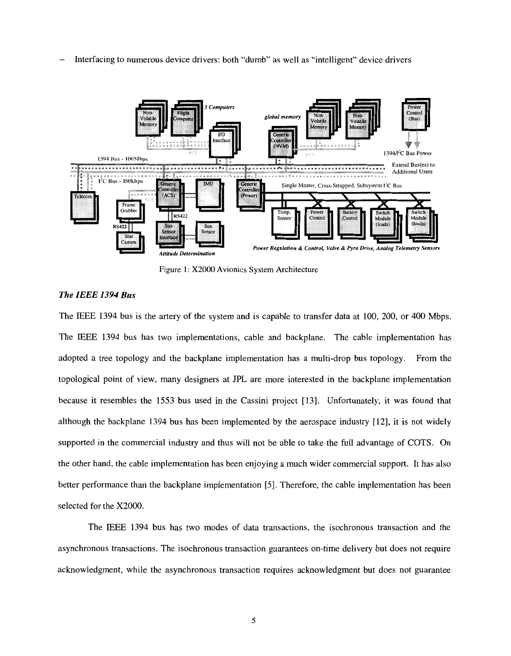- **Computers** global memory  $(Bux)$
- Interfacing to numerous device drivers: both "dumb" as well as "intelligent" device drivers



Figure 1: X2000 Avionics System Architecture

## *The IEEE 1394 Bus*

The IEEE 1394 bus is the artery of the system and is capable to transfer data at 100, 200, or 400 Mbps. The IEEE 1394 bus has two implementations, cable and backplane. The cable implementation has adopted a tree topology and the backplane implementation has a multi-drop bus topology. From the topological point of view, many designers at JPL are more interested in the backplane implementation because it resembles the 1553 bus used in the Cassini project [13]. Unfortunately, it was found that although the backplane 1394 bus has been implemented by the aerospace industry [ 121, it is not widely supported in the commercial industry and thus will not be able to take the full advantage of COTS. On the other hand, the cable implementation has been enjoying a much wider commercial support. Ithas also better performance than the backplane implementation [5]. Therefore, the cable implementation has been selected for the X2000.

The IEEE 1394 bus has two modes of data transactions, the isochronous transaction and the asynchronous transactions. The isochronous transaction guarantees on-time delivery but does not require acknowledgment, while the asynchronous transaction requires acknowledgment but does not guarantee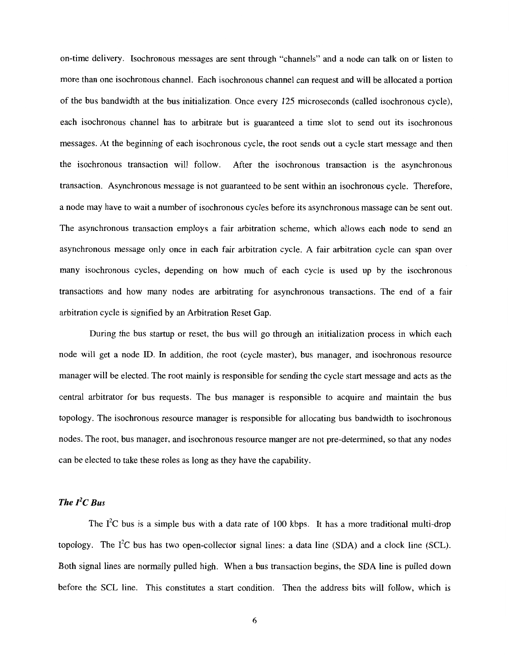on-time delivery. Isochronous messages are sent through "channels" and a node can talk on or listen to more than one isochronous channel. Each isochronous channel can request and will be allocated a portion of the bus bandwidth at the bus initialization. Once every 125 microseconds (called isochronous cycle), each isochronous channel has to arbitrate but is guaranteed a time slot to send out its isochronous messages. At the beginning of each isochronous cycle, the root sends out a cycle start message and then the isochronous transaction will follow. After the isochronous transaction is the asynchronous transaction. Asynchronous message is not guaranteed to be sent within an isochronous cycle. Therefore, a node may have to wait a number of isochronous cycles before its asynchronous massage can be sent out. The asynchronous transaction employs a fair arbitration scheme, which allows each node to send an asynchronous message only once in each fair arbitration cycle. A fair arbitration cycle can span over many isochronous cycles, depending on how much of each cycle is used up by the isochronous transactions and how many nodes are arbitrating for asynchronous transactions. The end of a fair arbitration cycle is signified by an Arbitration Reset Gap.

During the bus startup or reset, the bus will go through an initialization process in which each node will get a node ID. In addition, the root (cycle master), bus manager, and isochronous resource manager will be elected. The root mainly is responsible for sending the cycle start message and acts as the central arbitrator for bus requests. The bus manager is responsible to acquire and maintain the bus topology. The isochronous resource manager is responsible for allocating bus bandwidth to isochronous nodes. The root, bus manager, and isochronous resource manger are not pre-determined, so that any nodes can be elected to take these roles as long as they have the capability.

# *The 12C Bus*

The  $I^2C$  bus is a simple bus with a data rate of 100 kbps. It has a more traditional multi-drop topology. The  $I^2C$  bus has two open-collector signal lines: a data line (SDA) and a clock line (SCL). Both signal lines are normally pulled high. When a bus transaction begins, the SDA line is pulled down before the SCL line. This constitutes a start condition. Then the address bits will follow, which is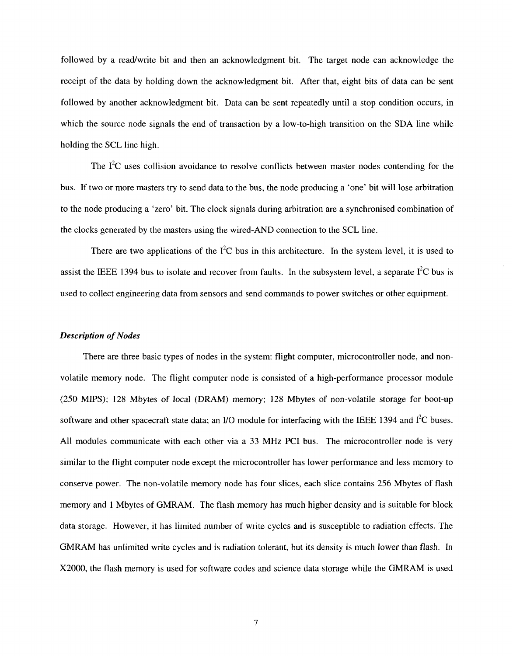followed by a readwrite bit and then an acknowledgment bit. The target node can acknowledge the receipt of the data by holding down the acknowledgment bit. After that, eight bits of data can be sent followed by another acknowledgment bit. Data can be sent repeatedly until a stop condition occurs, in which the source node signals the end of transaction by a low-to-high transition on the SDA line while holding the SCL line high.

The  $I<sup>2</sup>C$  uses collision avoidance to resolve conflicts between master nodes contending for the bus. If two or more masters try to send data to the bus, the node producing a 'one' bit will lose arbitration to the node producing a 'zero' bit. The clock signals during arbitration are a synchronised combination of the clocks generated by the masters using the wired-AND connection to the SCL line.

There are two applications of the  $I^2C$  bus in this architecture. In the system level, it is used to assist the IEEE 1394 bus to isolate and recover from faults. In the subsystem level, a separate  $I<sup>2</sup>C$  bus is used to collect engineering data from sensors and send commands to power switches or otheequipment.

## *Description of Nodes*

There are three basic types of nodes in the system: flight computer, microcontroller node, and nonvolatile memory node. The flight computer node is consisted of a high-performance processor module (250 MIPS); 128 Mbytes of local (DRAM) memory; 128 Mbytes of non-volatile storage for boot-up software and other spacecraft state data; an I/O module for interfacing with the IEEE 1394 and  $I^2C$  buses. All modules communicate with each other via a 33 MHz PC1 bus. The microcontroller node is very similar to the flight computer node except the microcontroller has lower performance and less memory to conserve power. The non-volatile memory node has four slices, each slice contains 256 Mbytes of flash memory and 1 Mbytes of GMRAM. The flash memory has much higher density and is suitable for block data storage. However, it has limited number of write cycles and is susceptible to radiation effects. The GMRAM has unlimited write cycles and is radiation tolerant, but its density is much lower than flash. In X2000, the flash memory is used for software codes and science data storage while the GMRAM is used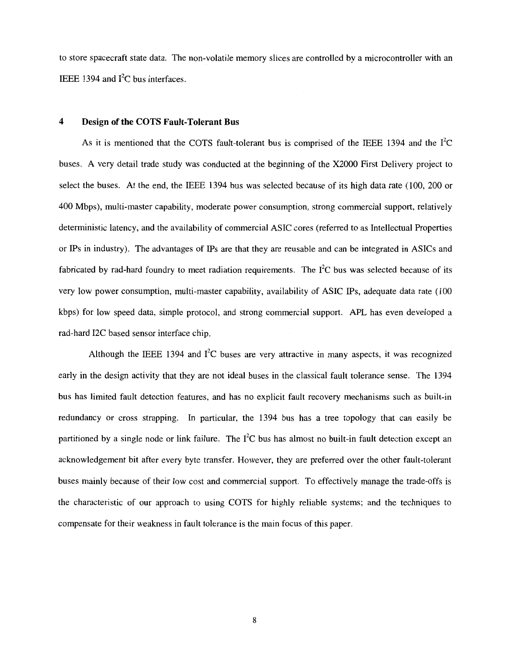to store spacecraft state data. The non-volatile memory slices are controlled by a microcontroller with an IEEE 1394 and  $I^2C$  bus interfaces.

## **4 Design of the COTS Fault-Tolerant Bus**

As it is mentioned that the COTS fault-tolerant bus is comprised of the IEEE 1394 and the  $I<sup>2</sup>C$ buses. A very detail trade study was conducted at the beginning of the X2000 First Delivery project to select the buses. At the end, the IEEE 1394 bus was selected because of its high data rate (100, 200 or 400 Mbps), multi-master capability, moderate power consumption, strong commercial support, relatively deterministic latency, and the availability of commercial ASIC cores (referred to as Intellectual Properties or Ips in industry). The advantages of IPS are that they are reusable and can be integrated in ASICs and fabricated by rad-hard foundry to meet radiation requirements. The  $I<sup>2</sup>C$  bus was selected because of its very low power consumption, multi-master capability, availability of ASIC **IPS,** adequate data rate (100 kbps) for low speed data, simple protocol, and strong commercial support. APL has even developed a rad-hard 12C based sensor interface chip.

Although the IEEE 1394 and  $I^2C$  buses are very attractive in many aspects, it was recognized early in the design activity that they are not ideal buses in the classical fault tolerance sense. The 1394 bus has limited fault detection features, and has no explicit fault recovery mechanisms such as built-in redundancy or cross strapping. In particular, the 1394 bus has a tree topology that can easily be partitioned by a single node or link failure. The  $I^2C$  bus has almost no built-in fault detection except an acknowledgement bit after every byte transfer. However, they are preferred over the other fault-tolerant buses mainly because of their low cost and commercial support. To effectively manage the trade-offs is the characteristic of our approach to using COTS for highly reliable systems; and the techniques to compensate for their weakness in fault tolerance is the main focus of this paper.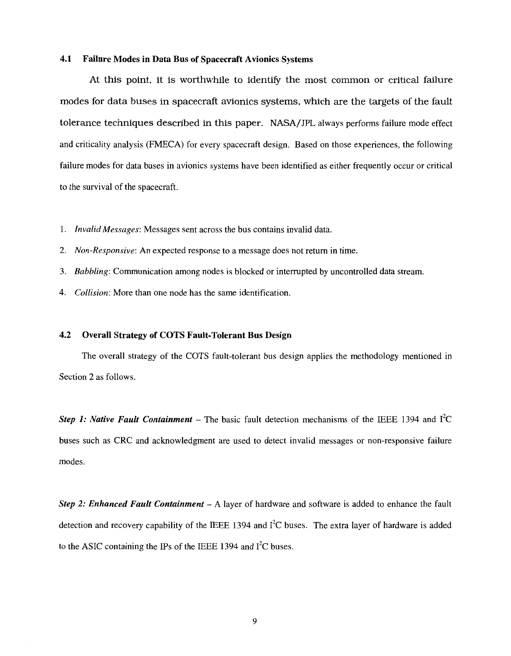## **4.1 Failure Modes in Data Bus of Spacecraft Avionics Systems**

At this point, it is worthwhile to identify the most common or critical failure modes for data buses in spacecraft avionics systems, which are the targets of the fault tolerance techniques described in this paper. NASA/JPL always performs failure mode effect and criticality analysis (FMECA) for every spacecraft design. Based on those experiences, the following failure modes for data buses in avionics systems have been identified as either frequently occur or critical to the survival of the spacecraft.

- 1. *Invalid Messages:* Messages sent across the bus contains invalid data.
- 2. *Non-Responsive:* An expected response to a message does not return in time.
- 3. *Babbling:* Communication among nodes is blocked or interrupted by uncontrolled data stream.
- 4. *Collision:* More than one node has the same identification.

## **4.2 Overall Strategy of COTS Fault-Tolerant Bus Design**

The overall strategy of the COTS fault-tolerant bus design applies the methodology mentioned in Section 2 as follows.

*Step 1: Native Fault Containment* – The basic fault detection mechanisms of the IEEE 1394 and  $I^2C$ buses such as CRC and acknowledgment are used to detect invalid messages or non-responsive failure modes.

*Step 2: Enhanced Fault Containment* - A layer of hardware and software is added to enhance the fault detection and recovery capability of the IEEE 1394 and  $I<sup>2</sup>C$  buses. The extra layer of hardware is added to the ASIC containing the IPs of the IEEE 1394 and  $I<sup>2</sup>C$  buses.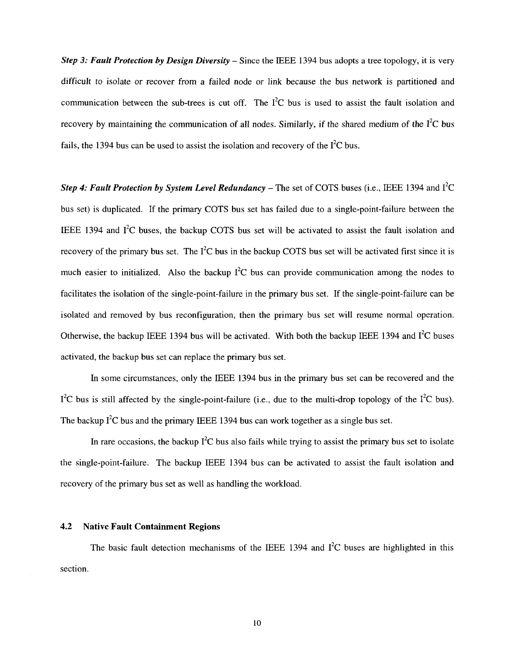*Step 3: Fault Protection by Design Diversity – Since the IEEE 1394 bus adopts a tree topology, it is very* difficult to isolate or recover from a failed node or link because the bus network is partitioned and communication between the sub-trees is cut off. The  $I^2C$  bus is used to assist the fault isolation and recovery by maintaining the communication of all nodes. Similarly, if the shared medium of the  $\hat{I}^2C$  bus fails, the 1394 bus can be used to assist the isolation and recovery of the  $I^2C$  bus.

*Step 4: Fault Protection by System Level Redundancy* – The set of COTS buses (i.e., IEEE 1394 and  $I^2C$ bus set) is duplicated. If the primary COTS bus set has failed due to a single-point-failure between the IEEE 1394 and  $I^2C$  buses, the backup COTS bus set will be activated to assist the fault isolation and recovery of the primary bus set. The  $I^2C$  bus in the backup COTS bus set will be activated first since it is much easier to initialized. Also the backup  $I^2C$  bus can provide communication among the nodes to facilitates the isolation of the single-point-failure in the primary bus set. If the single-point-failure can be isolated and removed by bus reconfiguration, then the primary bus set will resume normal operation. Otherwise, the backup IEEE 1394 bus will be activated. With both the backup IEEE 1394 and  $I^2C$  buses activated, the backup bus set can replace the primary bus set.

In some circumstances, only the IEEE 1394 bus in the primary bus set can be recovered and the  $1^2C$  bus is still affected by the single-point-failure (i.e., due to the multi-drop topology of the  $1^2C$  bus). The backup  $I^2C$  bus and the primary IEEE 1394 bus can work together as a single bus set.

In rare occasions, the backup  $I^2C$  bus also fails while trying to assist the primary bus set to isolate the single-point-failure. The backup IEEE 1394 bus can be activated to assist the fault isolation and recovery of the primary bus set as well as handling the workload.

## **4.2 Native Fault Containment Regions**

The basic fault detection mechanisms of the IEEE 1394 and  $I<sup>2</sup>C$  buses are highlighted in this section.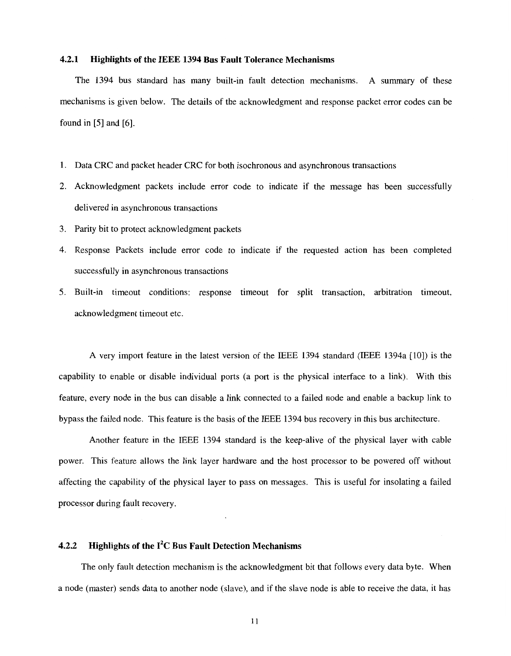## **4.2.1 Highlights of the IEEE 1394 Bus Fault Tolerance Mechanisms**

The 1394 bus standard has many built-in fault detection mechanisms. **A** summary of these mechanisms is given below. The details of the acknowledgment and response packet error codes can be found in [5] and [6].

- 1. Data CRC and packet header CRC for both isochronous and asynchronous transactions
- 2. Acknowledgment packets include error code to indicate if the message has been successfully delivered in asynchronous transactions
- 3. Parity bit to protect acknowledgment packets
- 4. Response Packets include error code to indicate if the requested action has been completed successfully in asynchronous transactions
- 5. Built-in timeout conditions: response timeout for split transaction, arbitration timeout, acknowledgment timeout etc.

**A** very import feature in the latest version of the IEEE 1394 standard (IEEE 1394a [lo]) is the capability to enable or disable individual ports (a port is the physical interface to a link). With this feature, every node in the bus can disable a link connected to a failed node and enable a backup link to bypass the failed node. This feature is the basis of the IEEE 1394 bus recovery in this bus architecture.

Another feature in the IEEE 1394 standard is the keep-alive of the physical layer with cable power. This feature allows the link layer hardware and the host processor to be powered off without affecting the capability of the physical layer to pass on messages. This is useful for insolating a failed processor during fault recovery.

# **4.2.2 Highlights of the 12C Bus Fault Detection Mechanisms**

The only fault detection mechanism is the acknowledgment bit that follows every data byte. When a node (master) sends data to another node (slave), and if the slave node is able to receive the data, it has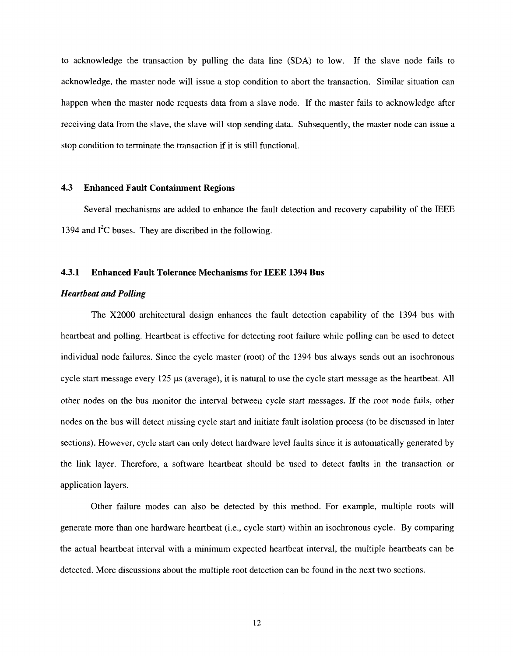to acknowledge the transaction by pulling the data line (SDA) to low. If the slave node fails to acknowledge, the master node will issue a stop condition to abort the transaction. Similar situation can happen when the master node requests data from a slave node. If the master fails to acknowledge after receiving data from the slave, the slave will stop sending data. Subsequently, the master node can issue a stop condition to terminate the transaction if it is still functional.

## **4.3 Enhanced Fault Containment Regions**

Several mechanisms are added to enhance the fault detection and recovery capability of the IEEE 1394 and  $I^2C$  buses. They are discribed in the following.

## **4.3.1 Enhanced Fault Tolerance Mechanisms for IEEE 1394 Bus**

## *Heartbeat and Polling*

The X2000 architectural design enhances the fault detection capability of the 1394 bus with heartbeat and polling. Heartbeat is effective for detecting root failure while polling can be used to detect individual node failures. Since the cycle master (root) of the 1394 bus always sends out an isochronous cycle start message every 125 **ps** (average), it is natural to use the cycle start message as the heartbeat. All other nodes on the bus monitor the interval between cycle **start** messages. **If** the root node fails, other nodes on the bus will detect missing cycle start and initiate fault isolation process (to be discussed in later sections). However, cycle start can only detect hardware level faults since it is automatically generated by the link layer. Therefore, a software heartbeat should be used to detect faults in the transaction or application layers.

Other failure modes can also be detected by this method. For example, multiple roots will generate more than one hardware heartbeat (i.e., cycle start) within an isochronous cycle. By comparing the actual heartbeat interval with a minimum expected heartbeat interval, the multiple heartbeats can be detected. More discussions about the multiple root detection can be found in the next two sections.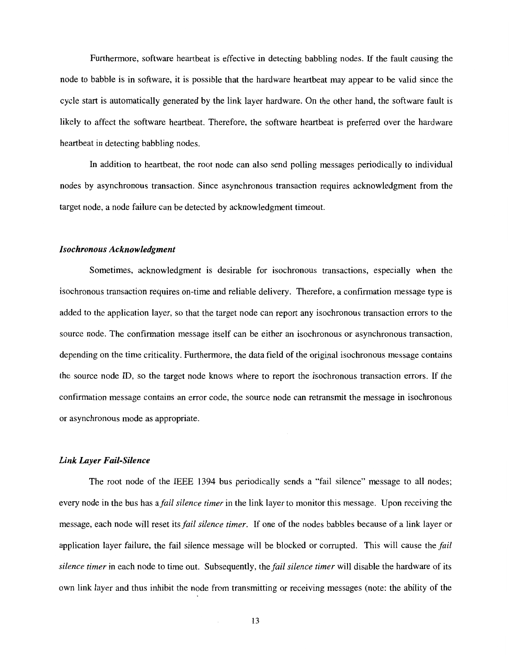Furthermore, software heartbeat is effective in detecting babbling nodes. If the fault causing the node to babble is in software, it is possible that the hardware heartbeat may appear to be valid since the cycle start is automatically generated by the link layer hardware. On the other hand, the software fault is likely to affect the software heartbeat. Therefore, the software heartbeat is preferred over the hardware heartbeat in detecting babbling nodes.

In addition to heartbeat, the root node can also send polling messages periodically to individual nodes by asynchronous transaction. Since asynchronous transaction requires acknowledgment from the target node, a node failure can be detected by acknowledgment timeout.

#### *Isochronous Acknowledgment*

Sometimes, acknowledgment is desirable for isochronous transactions, especially when the isochronous transaction requires on-time and reliable delivery. Therefore, a confirmation message type is added to the application layer, so that the target node can report any isochronous transaction errors to the source node. The confirmation message itself can be either an isochronous or asynchronous transaction, depending on the time criticality. Furthermore, the data field of the original isochronous message contains the source node ID, so the target node knows where to report the isochronous transaction errors. If the confirmation message contains an error code, the source node can retransmit the message in isochronous or asynchronous mode as appropriate.

#### *Link Layer Fail-Silence*

The root node of the IEEE 1394 bus periodically sends a "fail silence" message to all nodes; every node in the bus has a *fail silence timer* in the link layer to monitor this message. Upon receiving the message, each node will reset its *fail silence timer*. If one of the nodes babbles because of a link layer or application layer failure, the fail silence message will be blocked or corrupted. This will cause the fail silence timer in each node to time out. Subsequently, the fail silence timer will disable the hardware of its own link layer and thus inhibit the node from transmitting or receiving messages (note: the ability of the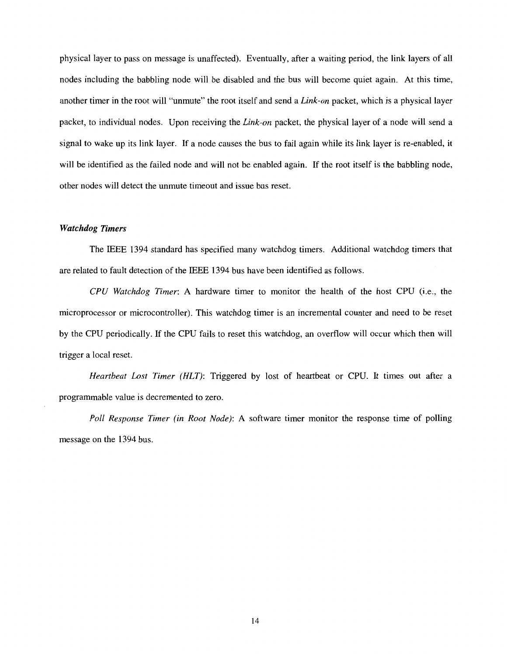physical layer to pass on message is unaffected). Eventually, after a waiting period, the link layers of all nodes including the babbling node will be disabled and the bus will become quiet again. At this time, another timer in the root will "unmute" the root itself and send a *Link-on* packet, which is a physical layer packet, to individual nodes. Upon receiving the *Link-on* packet, the physical layer of a node will send a signal to wake up its link layer. If a node causes the bus to fail again while its link layer is re-enabled, it will be identified as the failed node and will not be enabled again. If the root itself is the babbling node, other nodes will detect the unmute timeout and issue bus reset.

#### *Watchdog Timers*

The IEEE 1394 standard has specified many watchdog timers. Additional watchdog timers that are related to fault detection of the IEEE 1394 bus have been identified as follows.

*CPU Watchdog Timer:* A hardware timer to monitor the health of the host CPU (i.e., the microprocessor or microcontroller). This watchdog timer is an incremental counter and need to be reset by the CPU periodically. If the CPU fails to reset this watchdog, an overflow will occur which then will trigger a local reset.

*Heartbeat Lost Timer (HLT):* Triggered by lost of heartbeat or CPU. It times out after a programmable value is decremented to zero.

*Poll Response Timer (in Root Node):* A software timer monitor the response time of polling message on the 1394 bus.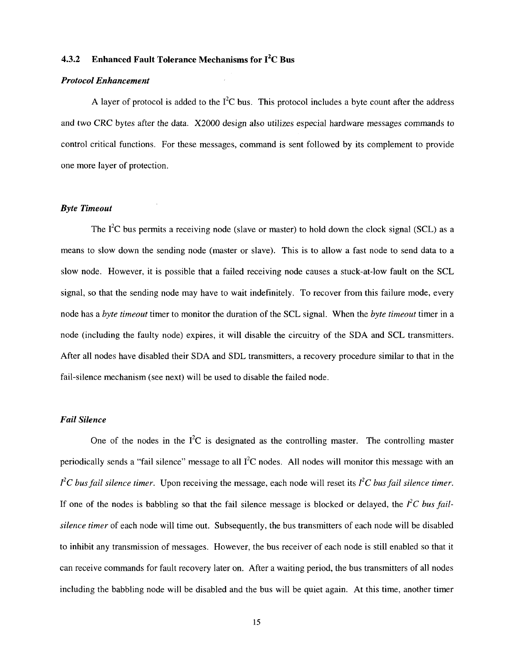# **4.3.2 Enhanced Fault Tolerance Mechanisms for 12C Bus**

## *Protocol Enhancement*

A layer of protocol is added to the  $I^2C$  bus. This protocol includes a byte count after the address and two CRC bytes after the data. *X2000* design also utilizes especial hardware messages commands to control critical functions. For these messages, command is sent followed by its complement to provide one more layer of protection.

## *Byte Timeout*

The  $I^2C$  bus permits a receiving node (slave or master) to hold down the clock signal (SCL) as a means to slow down the sending node (master or slave). This is to allow a fast node to send data to a slow node. However, it is possible that a failed receiving node causes a stuck-at-low fault on the SCL signal, so that the sending node may have to wait indefinitely. To recover from this failure mode, every node has a *byte timeout* timer to monitor the duration of the SCL signal. When the *byte timeout* timer in a node (including the faulty node) expires, it will disable the circuitry of the SDA and SCL transmitters. After all nodes have disabled their SDA and SDL transmitters, a recovery procedure similar to that in the fail-silence mechanism (see next) will be used to disable the failed node.

## *Fail Silence*

One of the nodes in the  $I^2C$  is designated as the controlling master. The controlling master periodically sends a "fail silence" message to all  $I^2C$  nodes. All nodes will monitor this message with an  $f^2C$  *bus fail silence timer.* Upon receiving the message, each node will reset its  $f^2C$  *bus fail silence timer.* If one of the nodes is babbling so that the fail silence message is blocked or delayed, the  $I<sup>2</sup>C$  *bus failsilence timer* of each node will time out. Subsequently, the bus transmitters of each node will be disabled to inhibit any transmission of messages. However, the bus receiver of each node is still enabled so that it can receive commands for fault recovery later on. After a waiting period, the bus transmitters of all nodes including the babbling node will be disabled and the bus will be quiet again. At this time, another timer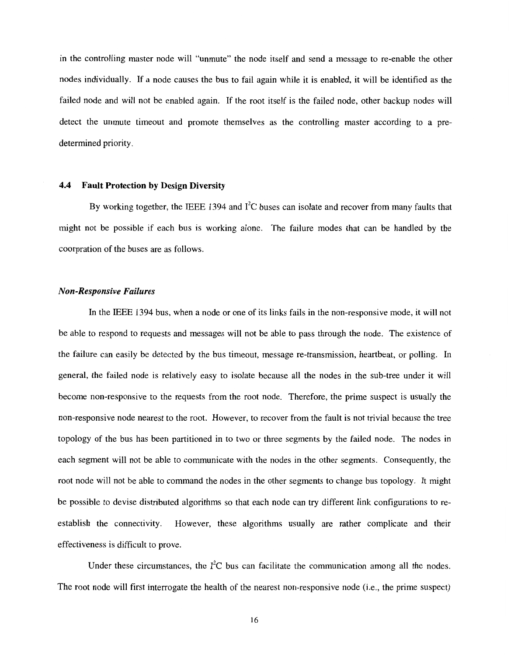in the controlling master node will "unmute" the node itself and send a message to re-enable the other nodes individually. If a node causes the bus to fail again while it is enabled, it will be identified as the failed node and will not be enabled again. If the root itself is the failed node, other backup nodes will detect the unmute timeout and promote themselves as the controlling master according to a predetermined priority.

## **4.4 Fault Protection by Design Diversity**

By working together, the IEEE 1394 and  $I^2C$  buses can isolate and recover from many faults that might not be possible if each bus is working alone. The failure modes that can be handled by the coorpration of the buses are as follows.

## *Non-Responsive Failures*

In the IEEE 1394 bus, when a node or one of its links fails in the non-responsive mode, it will not be able to respond to requests and messages will not be able to pass through the node. The existence of the failure can easily be detected by the bus timeout, message re-transmission, heartbeat, or polling. In general, the failed node is relatively easy to isolate because all the nodes in the sub-tree under it will become non-responsive to the requests from the root node. Therefore, the prime suspect is usually the non-responsive node nearest to the root. However, to recover from the fault is not trivial because the tree topology of the bus has been partitioned in to two or three segments by the failed node. The nodes in each segment will not be able to communicate with the nodes in the other segments. Consequently, the root node will not be able to command the nodes in the other segments to change bus topology. It might be possible to devise distributed algorithms so that each node can try different link configurations to reestablish the connectivity. However, these algorithms usually are rather complicate and their effectiveness is difficult to prove.

Under these circumstances, the  $I^2C$  bus can facilitate the communication among all the nodes. The root node will first interrogate the health of the nearest non-responsive node (i.e., the prime suspect)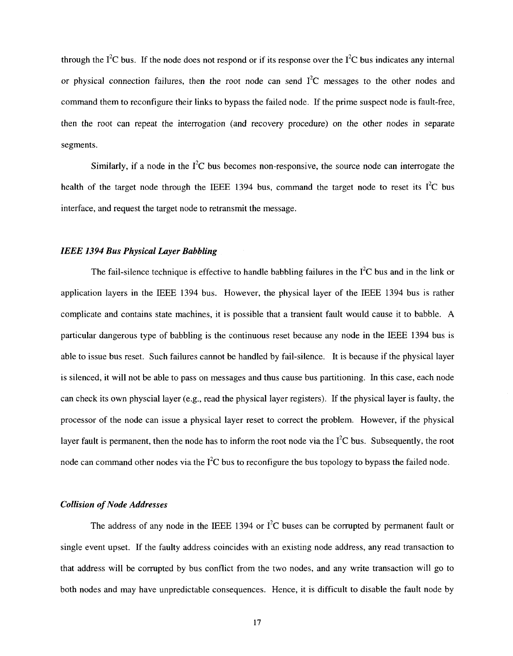through the  $I^2C$  bus. If the node does not respond or if its response over the  $I^2C$  bus indicates any internal or physical connection failures, then the root node can send  $I<sup>2</sup>C$  messages to the other nodes and command them to reconfigure their links to bypass the failed node. If the prime suspect node is fault-free, then the root can repeat the interrogation (and recovery procedure) on the other nodes in separate segments.

Similarly, if a node in the  $I^2C$  bus becomes non-responsive, the source node can interrogate the health of the target node through the IEEE 1394 bus, command the target node to reset its  $I^2C$  bus interface, and request the target node to retransmit the message.

#### *IEEE 1394 Bus Physical Layer Babbling*

The fail-silence technique is effective to handle babbling failures in the  $I<sup>2</sup>C$  bus and in the link or application layers in the IEEE 1394 bus. However, the physical layer of the IEEE 1394 bus is rather complicate and contains state machines, it is possible that a transient fault would cause it to babble. **A**  particular dangerous type of babbling is the continuous reset because any node in the IEEE 1394 bus is able to issue bus reset. Such failures cannot be handled by fail-silence. It is because if the physical layer is silenced, it will not be able to pass on messages and thus cause bus partitioning. In this case, each node can check its own physcial layer (e.g., read the physical layer registers). If the physical layer is faulty, the processor of the node can issue a physical layer reset to correct the problem. However, if the physical layer fault is permanent, then the node has to inform the root node via the  $I^2C$  bus. Subsequently, the root node can command other nodes via the  $I^2C$  bus to reconfigure the bus topology to bypass the failed node.

## *Collision of Node Addresses*

The address of any node in the IEEE 1394 or  $I^2C$  buses can be corrupted by permanent fault or single event upset. If the faulty address coincides with an existing node address, any read transaction to that address will be corrupted by bus conflict from the two nodes, and any write transaction will go to both nodes and may have unpredictable consequences. Hence, it is difficult to disable the fault node by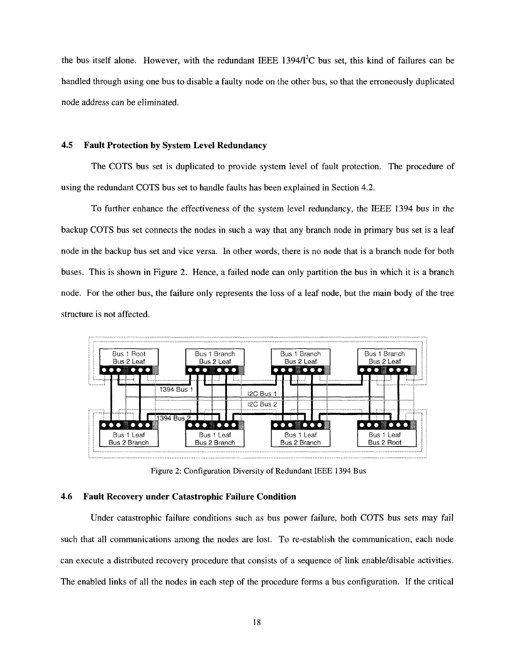the bus itself alone. However, with the redundant IEEE 1394/ $I<sup>2</sup>C$  bus set, this kind of failures can be handled through using one bus to disable a faulty node on the other bus, so that the erroneously duplicated node address can be eliminated.

## **4.5 Fault Protection by System Level Redundancy**

The COTS bus set is duplicated to provide system level of fault protection. The procedure of using the redundant COTS bus set to handle faults has been explained in Section 4.2.

To further enhance the effectiveness of the system level redundancy, the IEEE 1394 bus in the backup COTS bus set connects the nodes in such a way that any branch node in primary bus set is a leaf node in the backup bus set and vice versa. In other words, there is no node that is a branch node for both buses. This is shown in Figure 2. Hence, a failed node can only partition the bus in which it is a branch node. For the other bus, the failure only represents the loss of a leaf node, but the main body of the tree structure is not affected.



Figure **2:** Configuration Diversity of Redundant IEEE **1394** Bus

#### **4.6 Fault Recovery under Catastrophic Failure Condition**

Under catastrophic failure conditions such as bus power failure, both COTS bus sets may fail such that all communications among the nodes are lost. To re-establish the communication, each node can execute a distributed recovery procedure that consists of a sequence of link enable/disable activities. The enabled links of all the nodes in each step of the procedure forms a bus configuration. If the critical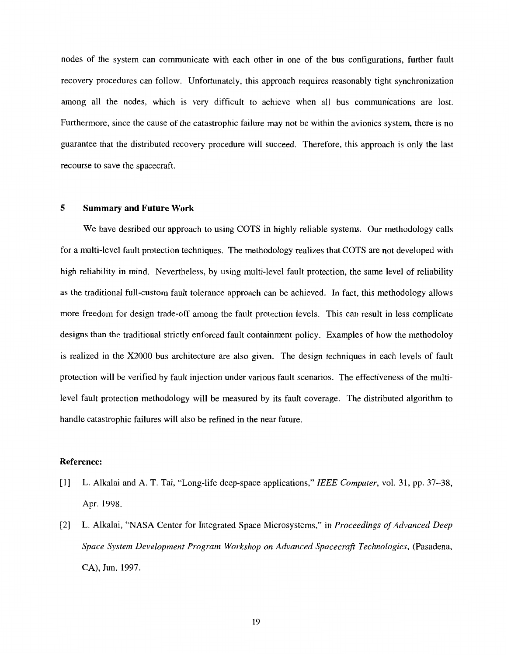nodes of the system can communicate with each other in one of the bus configurations, further fault recovery procedures can follow. Unfortunately, this approach requires reasonably tight synchronization among all the nodes, which is very difficult to achieve when all bus communications are lost. Furthermore, since the cause of the catastrophic failure may not be within the avionics system, there is no guarantee that the distributed recovery procedure will succeed. Therefore, this approach is only the last recourse to save the spacecraft.

#### **5 Summary and Future Work**

We have desribed our approach to using COTS in highly reliable systems. Our methodology calls for a multi-level fault protection techniques. The methodology realizes that COTS are not developed with high reliability in mind. Nevertheless, by using multi-level fault protection, the same level of reliability as the traditional full-custom fault tolerance approach can be achieved. In fact, this methodology allows more freedom for design trade-off among the fault protection levels. This can result in less complicate designs than the traditional strictly enforced fault containment policy. Examples of how the methodoloy is realized in the X2000 bus architecture are also given. The design techniques in each levels of fault protection will be verified by fault injection under various fault scenarios. The effectiveness of the multilevel fault protection methodology will be measured by its fault coverage. The distributed algorithm to handle catastrophic failures will also be refined in the near future.

## **Reference:**

- [l] L. Alkalai and A. T. Tai, "Long-life deep-space applications," *ZEEE Computer,* vol. 31, pp. 37-38, Apr. 1998.
- [2] L. Alkalai, "NASA Center for Integrated Space Microsystems," in *Proceedings of Advanced Deep Space System Development Program Workshop on Advanced Spacecraji Technologies,* (Pasadena, CA), Jun. 1997.